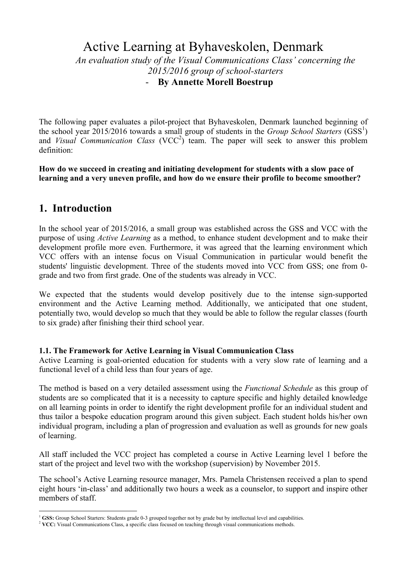# Active Learning at Byhaveskolen, Denmark

*An evaluation study of the Visual Communications Class' concerning the 2015/2016 group of school-starters* - **By Annette Morell Boestrup**

The following paper evaluates a pilot-project that Byhaveskolen, Denmark launched beginning of the school year 2015/2016 towards a small group of students in the *Group School Starters* (GSS<sup>1</sup>) and *Visual Communication Class* (VCC<sup>2</sup>) team. The paper will seek to answer this problem definition:

**How do we succeed in creating and initiating development for students with a slow pace of learning and a very uneven profile, and how do we ensure their profile to become smoother?**

## **1. Introduction**

In the school year of 2015/2016, a small group was established across the GSS and VCC with the purpose of using *Active Learning* as a method, to enhance student development and to make their development profile more even. Furthermore, it was agreed that the learning environment which VCC offers with an intense focus on Visual Communication in particular would benefit the students' linguistic development. Three of the students moved into VCC from GSS; one from 0 grade and two from first grade. One of the students was already in VCC.

We expected that the students would develop positively due to the intense sign-supported environment and the Active Learning method. Additionally, we anticipated that one student, potentially two, would develop so much that they would be able to follow the regular classes (fourth to six grade) after finishing their third school year.

#### **1.1. The Framework for Active Learning in Visual Communication Class**

Active Learning is goal-oriented education for students with a very slow rate of learning and a functional level of a child less than four years of age.

The method is based on a very detailed assessment using the *Functional Schedule* as this group of students are so complicated that it is a necessity to capture specific and highly detailed knowledge on all learning points in order to identify the right development profile for an individual student and thus tailor a bespoke education program around this given subject. Each student holds his/her own individual program, including a plan of progression and evaluation as well as grounds for new goals of learning.

All staff included the VCC project has completed a course in Active Learning level 1 before the start of the project and level two with the workshop (supervision) by November 2015.

The school's Active Learning resource manager, Mrs. Pamela Christensen received a plan to spend eight hours 'in-class' and additionally two hours a week as a counselor, to support and inspire other members of staff.

<sup>&</sup>lt;sup>1</sup> GSS: Group School Starters: Students grade 0-3 grouped together not by grade but by intellectual level and capabilities.

<sup>&</sup>lt;sup>2</sup> VCC: Visual Communications Class, a specific class focused on teaching through visual communications methods.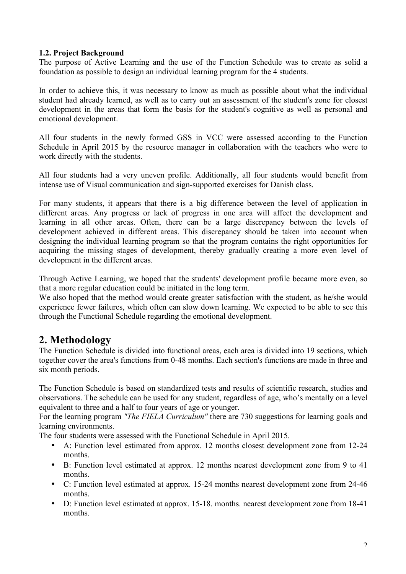#### **1.2. Project Background**

The purpose of Active Learning and the use of the Function Schedule was to create as solid a foundation as possible to design an individual learning program for the 4 students.

In order to achieve this, it was necessary to know as much as possible about what the individual student had already learned, as well as to carry out an assessment of the student's zone for closest development in the areas that form the basis for the student's cognitive as well as personal and emotional development.

All four students in the newly formed GSS in VCC were assessed according to the Function Schedule in April 2015 by the resource manager in collaboration with the teachers who were to work directly with the students.

All four students had a very uneven profile. Additionally, all four students would benefit from intense use of Visual communication and sign-supported exercises for Danish class.

For many students, it appears that there is a big difference between the level of application in different areas. Any progress or lack of progress in one area will affect the development and learning in all other areas. Often, there can be a large discrepancy between the levels of development achieved in different areas. This discrepancy should be taken into account when designing the individual learning program so that the program contains the right opportunities for acquiring the missing stages of development, thereby gradually creating a more even level of development in the different areas.

Through Active Learning, we hoped that the students' development profile became more even, so that a more regular education could be initiated in the long term.

We also hoped that the method would create greater satisfaction with the student, as he/she would experience fewer failures, which often can slow down learning. We expected to be able to see this through the Functional Schedule regarding the emotional development.

# **2. Methodology**

The Function Schedule is divided into functional areas, each area is divided into 19 sections, which together cover the area's functions from 0-48 months. Each section's functions are made in three and six month periods.

The Function Schedule is based on standardized tests and results of scientific research, studies and observations. The schedule can be used for any student, regardless of age, who's mentally on a level equivalent to three and a half to four years of age or younger.

For the learning program *"The FIELA Curriculum"* there are 730 suggestions for learning goals and learning environments.

The four students were assessed with the Functional Schedule in April 2015.

- A: Function level estimated from approx. 12 months closest development zone from 12-24 months.
- B: Function level estimated at approx. 12 months nearest development zone from 9 to 41 months.
- C: Function level estimated at approx. 15-24 months nearest development zone from 24-46 months.
- D: Function level estimated at approx. 15-18. months. nearest development zone from 18-41 months.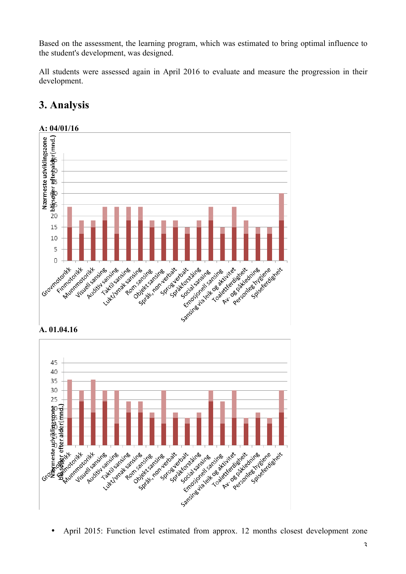Based on the assessment, the learning program, which was estimated to bring optimal influence to the student's development, was designed.

All students were assessed again in April 2016 to evaluate and measure the progression in their development.



# **3. Analysis**





• April 2015: Function level estimated from approx. 12 months closest development zone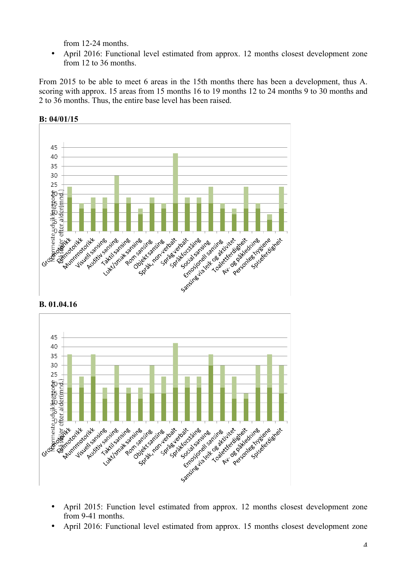from 12-24 months.

• April 2016: Functional level estimated from approx. 12 months closest development zone from 12 to 36 months.

From 2015 to be able to meet 6 areas in the 15th months there has been a development, thus A. scoring with approx. 15 areas from 15 months 16 to 19 months 12 to 24 months 9 to 30 months and 2 to 36 months. Thus, the entire base level has been raised.



#### **B. 01.04.16**



- April 2015: Function level estimated from approx. 12 months closest development zone from 9-41 months.
- April 2016: Functional level estimated from approx. 15 months closest development zone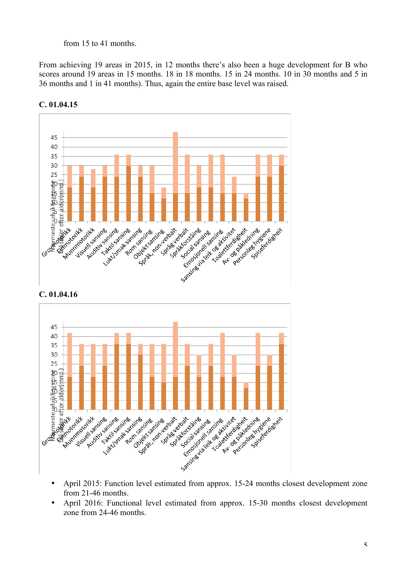#### from 15 to 41 months.

From achieving 19 areas in 2015, in 12 months there's also been a huge development for B who scores around 19 areas in 15 months. 18 in 18 months. 15 in 24 months. 10 in 30 months and 5 in 36 months and 1 in 41 months). Thus, again the entire base level was raised.



**C. 01.04.15**





- from 21-46 months.
- April 2016: Functional level estimated from approx. 15-30 months closest development zone from 24-46 months.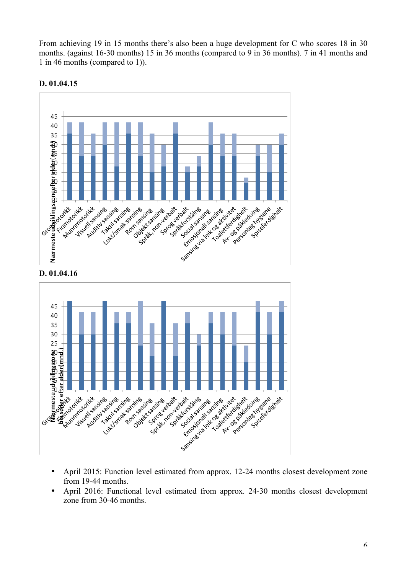From achieving 19 in 15 months there's also been a huge development for C who scores 18 in 30 months. (against 16-30 months) 15 in 36 months (compared to 9 in 36 months). 7 in 41 months and 1 in 46 months (compared to 1)).



#### **D. 01.04.15**





- April 2015: Function level estimated from approx. 12-24 months closest development zone from 19-44 months.
- April 2016: Functional level estimated from approx. 24-30 months closest development zone from 30-46 months.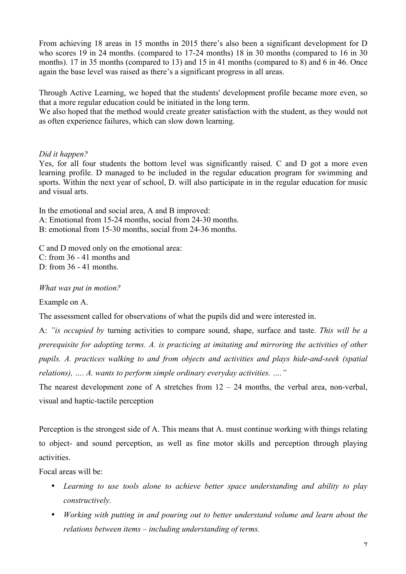From achieving 18 areas in 15 months in 2015 there's also been a significant development for D who scores 19 in 24 months. (compared to 17-24 months) 18 in 30 months (compared to 16 in 30 months). 17 in 35 months (compared to 13) and 15 in 41 months (compared to 8) and 6 in 46. Once again the base level was raised as there's a significant progress in all areas.

Through Active Learning, we hoped that the students' development profile became more even, so that a more regular education could be initiated in the long term.

We also hoped that the method would create greater satisfaction with the student, as they would not as often experience failures, which can slow down learning.

#### *Did it happen?*

Yes, for all four students the bottom level was significantly raised. C and D got a more even learning profile. D managed to be included in the regular education program for swimming and sports. Within the next year of school, D. will also participate in in the regular education for music and visual arts.

In the emotional and social area, A and B improved: A: Emotional from 15-24 months, social from 24-30 months. B: emotional from 15-30 months, social from 24-36 months.

C and D moved only on the emotional area: C: from 36 - 41 months and D: from 36 - 41 months.

*What was put in motion?*

Example on A.

The assessment called for observations of what the pupils did and were interested in.

A: *"is occupied by* turning activities to compare sound, shape, surface and taste. *This will be a prerequisite for adopting terms. A. is practicing at imitating and mirroring the activities of other pupils. A. practices walking to and from objects and activities and plays hide-and-seek (spatial relations), …. A. wants to perform simple ordinary everyday activities. …."*

The nearest development zone of A stretches from  $12 - 24$  months, the verbal area, non-verbal, visual and haptic-tactile perception

Perception is the strongest side of A. This means that A. must continue working with things relating to object- and sound perception, as well as fine motor skills and perception through playing activities.

Focal areas will be:

- *Learning to use tools alone to achieve better space understanding and ability to play constructively.*
- *Working with putting in and pouring out to better understand volume and learn about the relations between items – including understanding of terms.*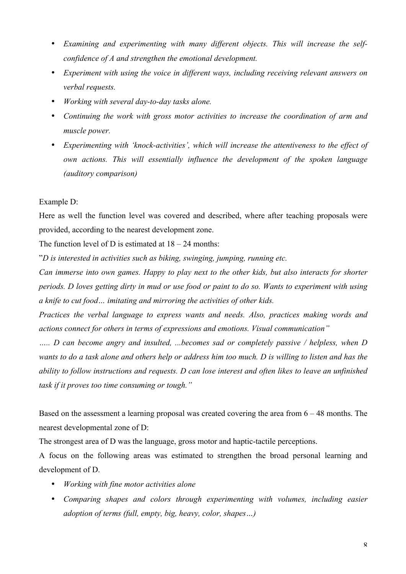- *Examining and experimenting with many different objects. This will increase the selfconfidence of A and strengthen the emotional development.*
- *Experiment with using the voice in different ways, including receiving relevant answers on verbal requests.*
- *Working with several day-to-day tasks alone.*
- *Continuing the work with gross motor activities to increase the coordination of arm and muscle power.*
- *Experimenting with 'knock-activities', which will increase the attentiveness to the effect of own actions. This will essentially influence the development of the spoken language (auditory comparison)*

#### Example D:

Here as well the function level was covered and described, where after teaching proposals were provided, according to the nearest development zone.

The function level of D is estimated at  $18 - 24$  months:

"*D is interested in activities such as biking, swinging, jumping, running etc.*

*Can immerse into own games. Happy to play next to the other kids, but also interacts for shorter periods. D loves getting dirty in mud or use food or paint to do so. Wants to experiment with using a knife to cut food… imitating and mirroring the activities of other kids.*

*Practices the verbal language to express wants and needs. Also, practices making words and actions connect for others in terms of expressions and emotions. Visual communication"*

*….. D can become angry and insulted, ...becomes sad or completely passive / helpless, when D wants to do a task alone and others help or address him too much. D is willing to listen and has the ability to follow instructions and requests. D can lose interest and often likes to leave an unfinished task if it proves too time consuming or tough."*

Based on the assessment a learning proposal was created covering the area from 6 – 48 months. The nearest developmental zone of D:

The strongest area of D was the language, gross motor and haptic-tactile perceptions.

A focus on the following areas was estimated to strengthen the broad personal learning and development of D.

- *Working with fine motor activities alone*
- *Comparing shapes and colors through experimenting with volumes, including easier adoption of terms (full, empty, big, heavy, color, shapes…)*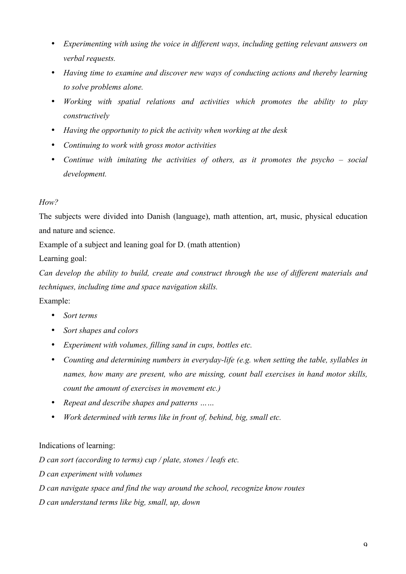- *Experimenting with using the voice in different ways, including getting relevant answers on verbal requests.*
- *Having time to examine and discover new ways of conducting actions and thereby learning to solve problems alone.*
- *Working with spatial relations and activities which promotes the ability to play constructively*
- *Having the opportunity to pick the activity when working at the desk*
- *Continuing to work with gross motor activities*
- *Continue with imitating the activities of others, as it promotes the psycho – social development.*

## *How?*

The subjects were divided into Danish (language), math attention, art, music, physical education and nature and science.

Example of a subject and leaning goal for D. (math attention)

Learning goal:

*Can develop the ability to build, create and construct through the use of different materials and techniques, including time and space navigation skills.*

Example:

- *Sort terms*
- *Sort shapes and colors*
- *Experiment with volumes, filling sand in cups, bottles etc.*
- *Counting and determining numbers in everyday-life (e.g. when setting the table, syllables in names, how many are present, who are missing, count ball exercises in hand motor skills, count the amount of exercises in movement etc.)*
- *Repeat and describe shapes and patterns ……*
- *Work determined with terms like in front of, behind, big, small etc.*

## Indications of learning:

*D can sort (according to terms) cup / plate, stones / leafs etc.*

*D can experiment with volumes*

*D can navigate space and find the way around the school, recognize know routes*

*D can understand terms like big, small, up, down*